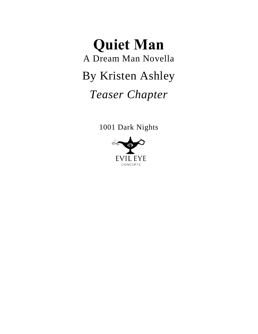# **Quiet Man** A Dream Man Novella By Kristen Ashley *Teaser Chapter*

1001 Dark Nights

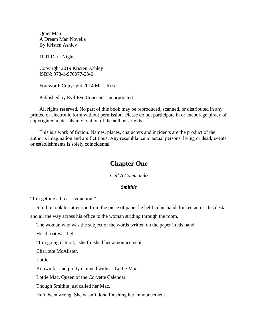Quiet Man A Dream Man Novella By Kristen Ashley

1001 Dark Nights

Copyright 2019 Kristen Ashley ISBN: 978-1-970077-23-0

Foreword: Copyright 2014 M. J. Rose

Published by Evil Eye Concepts, Incorporated

All rights reserved. No part of this book may be reproduced, scanned, or distributed in any printed or electronic form without permission. Please do not participate in or encourage piracy of copyrighted materials in violation of the author's rights.

This is a work of fiction. Names, places, characters and incidents are the product of the author's imagination and are fictitious. Any resemblance to actual persons, living or dead, events or establishments is solely coincidental.

## **Chapter One**

### *Call A Commando*

### *Smithie*

"I'm getting a breast reduction."

Smithie took his attention from the piece of paper he held in his hand, looked across his desk and all the way across his office to the woman striding through the room.

The woman who was the subject of the words written on the paper in his hand.

His throat was tight.

"I'm going natural," she finished her announcement.

Charlotte McAlister.

Lottie.

Known far and pretty damned wide as Lottie Mac.

Lottie Mac, Queen of the Corvette Calendar.

Though Smithie just called her Mac.

He'd been wrong. She wasn't done finishing her announcement.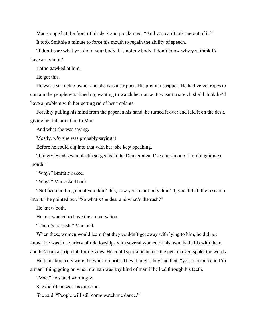Mac stopped at the front of his desk and proclaimed, "And you can't talk me out of it." It took Smithie a minute to force his mouth to regain the ability of speech.

"I don't care what you do to your body. It's not my body. I don't know why you think I'd have a say in it."

Lottie gawked at him.

He got this.

He was a strip club owner and she was a stripper. His premier stripper. He had velvet ropes to contain the people who lined up, wanting to watch her dance. It wasn't a stretch she'd think he'd have a problem with her getting rid of her implants.

Forcibly pulling his mind from the paper in his hand, he turned it over and laid it on the desk, giving his full attention to Mac.

And what she was saying.

Mostly, *why* she was probably saying it.

Before he could dig into that with her, she kept speaking.

"I interviewed seven plastic surgeons in the Denver area. I've chosen one. I'm doing it next month."

"Why?" Smithie asked.

"Why?" Mac asked back.

"Not heard a thing about you doin' this, now you're not only doin' it, you did all the research into it," he pointed out. "So what's the deal and what's the rush?"

He knew both.

He just wanted to have the conversation.

"There's no rush," Mac lied.

When these women would learn that they couldn't get away with lying to him, he did not know. He was in a variety of relationships with several women of his own, had kids with them, and he'd run a strip club for decades. He could spot a lie before the person even spoke the words.

Hell, his bouncers were the worst culprits. They thought they had that, "you're a man and I'm a man" thing going on when no man was any kind of man if he lied through his teeth.

"Mac," he stated warningly.

She didn't answer his question.

She said, "People will still come watch me dance."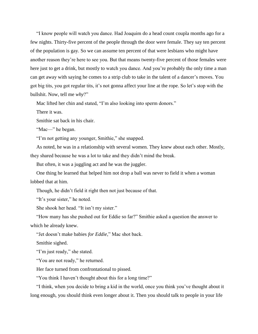"I know people will watch you dance. Had Joaquim do a head count coupla months ago for a few nights. Thirty-five percent of the people through the door were female. They say ten percent of the population is gay. So we can assume ten percent of that were lesbians who might have another reason they're here to see you. But that means twenty-five percent of those females were here just to get a drink, but mostly to watch you dance. And you're probably the only time a man can get away with saying he comes to a strip club to take in the talent of a dancer's moves. You got big tits, you got regular tits, it's not gonna affect your line at the rope. So let's stop with the bullshit. Now, tell me *why*?"

Mac lifted her chin and stated, "I'm also looking into sperm donors."

There it was.

Smithie sat back in his chair.

"Mac—" he began.

"I'm not getting any younger, Smithie," she snapped.

As noted, he was in a relationship with several women. They knew about each other. Mostly, they shared because he was a lot to take and they didn't mind the break.

But often, it was a juggling act and he was the juggler.

One thing he learned that helped him not drop a ball was never to field it when a woman lobbed that at him.

Though, he didn't field it right then not just because of that.

"It's your sister," he noted.

She shook her head. "It isn't my sister."

"How many has she pushed out for Eddie so far?" Smithie asked a question the answer to which he already knew.

"Jet doesn't make babies *for Eddie*," Mac shot back.

Smithie sighed.

"I'm just ready," she stated.

"You are not ready," he returned.

Her face turned from confrontational to pissed.

"You think I haven't thought about this for a long time?"

"I think, when you decide to bring a kid in the world, once you think you've thought about it long enough, you should think even longer about it. Then you should talk to people in your life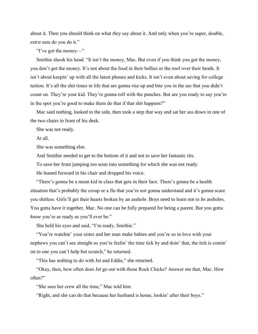about it. Then you should think on what *they* say about it. And only when you're super, double, *extra* sure do you do it."

"I've got the money—"

Smithie shook his head. "It isn't the money, Mac. But even if you think you got the money, you don't got the money. It's not about the food in their bellies or the roof over their heads. It isn't about keepin' up with all the latest phones and kicks. It isn't even about saving for college tuition. It's all the shit times in life that are gonna rise up and bite you in the ass that you didn't count on. They're your kid. They're gonna roll with the punches. But are you ready to say you're in the spot you're good to make them do that if that shit happens?"

Mac said nothing, looked to the side, then took a step that way and sat her ass down in one of the two chairs in front of his desk.

She was not ready.

At all.

She was something else.

And Smithie needed to get to the bottom of it and not to save her fantastic tits.

To save her from jumping too soon into something for which she was not ready.

He leaned forward in his chair and dropped his voice.

"There's gonna be a mean kid in class that gets in their face. There's gonna be a health situation that's probably the croup or a flu that you're not gonna understand and it's gonna scare you shitless. Girls'll get their hearts broken by an asshole. Boys need to learn not to *be* assholes. You gotta have it together, Mac. No one can be fully prepared for being a parent. But you gotta *know* you're as ready as you'll ever be."

She held his eyes and said, "I'm ready, Smithie."

"You're watchin' your sister and her man make babies and you're so in love with your nephews you can't see straight so you're feelin' the time tick by and doin' that, the itch is comin' on to one you can't help but scratch," he returned.

"This has nothing to do with Jet and Eddie," she returned.

"Okay, then, how often does Jet go out with those Rock Chicks? Answer me that, Mac. How often?"

"She sees her crew all the time," Mac told him.

"Right, and she can do that because her husband is home, lookin' after their boys."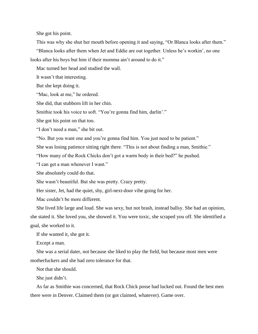She got his point.

This was why she shut her mouth before opening it and saying, "Or Blanca looks after them."

"Blanca looks after them when Jet and Eddie are out together. Unless he's workin', no one looks after his boys but him if their momma ain't around to do it."

Mac turned her head and studied the wall.

It wasn't that interesting.

But she kept doing it.

"Mac, look at me," he ordered.

She did, that stubborn lift in her chin.

Smithie took his voice to soft. "You're gonna find him, darlin'."

She got his point on that too.

"I don't need a man," she bit out.

"No. But you want one and you're gonna find him. You just need to be patient."

She was losing patience sitting right there. "This is not about finding a man, Smithie."

"How many of the Rock Chicks don't got a warm body in their bed?" he pushed.

"I can get a man whenever I want."

She absolutely could do that.

She wasn't beautiful. But she was pretty. Crazy pretty.

Her sister, Jet, had the quiet, shy, girl-next-door vibe going for her.

Mac couldn't be more different.

She lived life large and loud. She was sexy, but not brash, instead ballsy. She had an opinion, she stated it. She loved you, she showed it. You were toxic, she scraped you off. She identified a goal, she worked to it.

If she wanted it, she got it.

Except a man.

She was a serial dater, not because she liked to play the field, but because most men were motherfuckers and she had zero tolerance for that.

Not that she should.

She just didn't.

As far as Smithie was concerned, that Rock Chick posse had lucked out. Found the best men there were in Denver. Claimed them (or got claimed, whatever). Game over.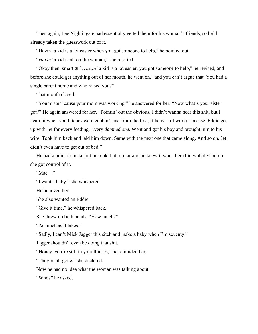Then again, Lee Nightingale had essentially vetted them for his woman's friends, so he'd already taken the guesswork out of it.

"Havin' a kid is a lot easier when you got someone to help," he pointed out.

"*Havin*' a kid is all on the woman," she retorted.

"Okay then, smart girl, *raisin'* a kid is a lot easier, you got someone to help," he revised, and before she could get anything out of her mouth, he went on, "and you can't argue that. You had a single parent home and who raised you?"

That mouth closed.

"Your sister 'cause your mom was working," he answered for her. "Now what's your sister got?" He again answered for her. "Pointin' out the obvious, I didn't wanna hear this shit, but I heard it when you bitches were gabbin', and from the first, if he wasn't workin' a case, Eddie got up with Jet for every feeding. Every *damned one*. Went and got his boy and brought him to his wife. Took him back and laid him down. Same with the next one that came along. And so on. Jet didn't even have to get out of bed."

He had a point to make but he took that too far and he knew it when her chin wobbled before she got control of it.

"Mac—"

"I want a baby," she whispered.

He believed her.

She also wanted an Eddie.

"Give it time," he whispered back.

She threw up both hands. "How much?"

"As much as it takes."

"Sadly, I can't Mick Jagger this sitch and make a baby when I'm seventy."

Jagger shouldn't even be doing that shit.

"Honey, you're still in your thirties," he reminded her.

"They're all gone," she declared.

Now he had no idea what the woman was talking about.

"Who?" he asked.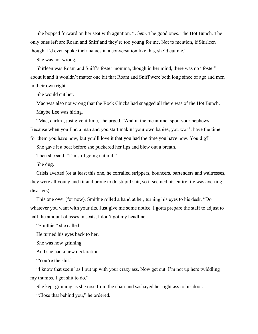She bopped forward on her seat with agitation. "*Them*. The good ones. The Hot Bunch. The only ones left are Roam and Sniff and they're too young for me. Not to mention, if Shirleen thought I'd even spoke their names in a conversation like this, she'd cut me."

She was not wrong.

Shirleen was Roam and Sniff's foster momma, though in her mind, there was no "foster" about it and it wouldn't matter one bit that Roam and Sniff were both long since of age and men in their own right.

She would cut her.

Mac was also not wrong that the Rock Chicks had snagged all there was of the Hot Bunch. Maybe Lee was hiring.

"Mac, darlin', just give it time," he urged. "And in the meantime, spoil your nephews. Because when you find a man and you start makin' your own babies, you won't have the time for them you have now, but you'll love it that you had the time you have now. You dig?"

She gave it a beat before she puckered her lips and blew out a breath.

Then she said, "I'm still going natural."

She dug.

Crisis averted (or at least this one, he corralled strippers, bouncers, bartenders and waitresses, they were all young and fit and prone to do stupid shit, so it seemed his entire life was averting disasters).

This one over (for now), Smithie rolled a hand at her, turning his eyes to his desk. "Do whatever you want with your tits. Just give me some notice. I gotta prepare the staff to adjust to half the amount of asses in seats, I don't got my headliner."

"Smithie," she called.

He turned his eyes back to her.

She was now grinning.

And she had a new declaration.

"You're the shit."

"I know that seein' as I put up with your crazy ass. Now get out. I'm not up here twiddling my thumbs. I got shit to do."

She kept grinning as she rose from the chair and sashayed her tight ass to his door.

"Close that behind you," he ordered.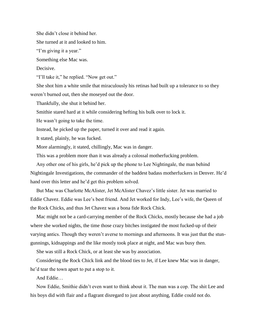She didn't close it behind her.

She turned at it and looked to him.

"I'm giving it a year."

Something else Mac was.

Decisive.

"I'll take it," he replied. "Now get out."

She shot him a white smile that miraculously his retinas had built up a tolerance to so they weren't burned out, then she moseyed out the door.

Thankfully, she shut it behind her.

Smithie stared hard at it while considering hefting his bulk over to lock it.

He wasn't going to take the time.

Instead, he picked up the paper, turned it over and read it again.

It stated, plainly, he was fucked.

More alarmingly, it stated, chillingly, Mac was in danger.

This was a problem more than it was already a colossal motherfucking problem.

Any other one of his girls, he'd pick up the phone to Lee Nightingale, the man behind Nightingale Investigations, the commander of the baddest badass motherfuckers in Denver. He'd hand over this letter and he'd get this problem solved.

But Mac was Charlotte McAlister, Jet McAlister Chavez's little sister. Jet was married to Eddie Chavez. Eddie was Lee's best friend. And Jet worked for Indy, Lee's wife, the Queen of the Rock Chicks, and thus Jet Chavez was a bona fide Rock Chick.

Mac might not be a card-carrying member of the Rock Chicks, mostly because she had a job where she worked nights, the time those crazy bitches instigated the most fucked-up of their varying antics. Though they weren't averse to mornings and afternoons. It was just that the stungunnings, kidnappings and the like mostly took place at night, and Mac was busy then.

She was still a Rock Chick, or at least she was by association.

Considering the Rock Chick link and the blood ties to Jet, if Lee knew Mac was in danger, he'd tear the town apart to put a stop to it.

And Eddie…

Now Eddie, Smithie didn't even want to think about it. The man was a cop. The shit Lee and his boys did with flair and a flagrant disregard to just about anything, Eddie could not do.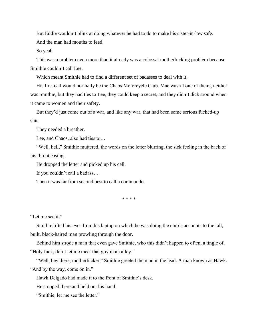But Eddie wouldn't blink at doing whatever he had to do to make his sister-in-law safe. And the man had mouths to feed.

So yeah.

This was a problem even more than it already was a colossal motherfucking problem because Smithie couldn't call Lee.

Which meant Smithie had to find a different set of badasses to deal with it.

His first call would normally be the Chaos Motorcycle Club. Mac wasn't one of theirs, neither was Smithie, but they had ties to Lee, they could keep a secret, and they didn't dick around when it came to women and their safety.

But they'd just come out of a war, and like any war, that had been some serious fucked-up shit.

They needed a breather.

Lee, and Chaos, also had ties to…

"Well, hell," Smithie muttered, the words on the letter blurring, the sick feeling in the back of his throat easing.

He dropped the letter and picked up his cell.

If you couldn't call a badass…

Then it was far from second best to call a commando.

\* \* \* \*

"Let me see it."

Smithie lifted his eyes from his laptop on which he was doing the club's accounts to the tall,

built, black-haired man prowling through the door.

Behind him strode a man that even gave Smithie, who this didn't happen to often, a tingle of, "Holy fuck, don't let me meet that guy in an alley."

"Well, hey there, motherfucker," Smithie greeted the man in the lead. A man known as Hawk. "And by the way, come on in."

Hawk Delgado had made it to the front of Smithie's desk.

He stopped there and held out his hand.

"Smithie, let me see the letter."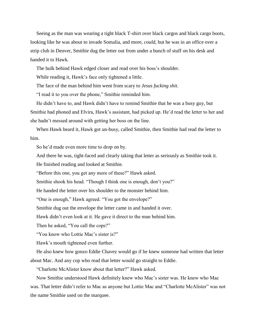Seeing as the man was wearing a tight black T-shirt over black cargos and black cargo boots, looking like he was about to invade Somalia, and more, *could*, but he was in an office over a strip club in Denver, Smithie dug the letter out from under a bunch of stuff on his desk and handed it to Hawk.

The hulk behind Hawk edged closer and read over his boss's shoulder.

While reading it, Hawk's face only tightened a little.

The face of the man behind him went from scary to *Jesus fucking shit*.

"I read it to you over the phone," Smithie reminded him.

He didn't have to, and Hawk didn't have to remind Smithie that he was a busy guy, but Smithie had phoned and Elvira, Hawk's assistant, had picked up. He'd read the letter to her and she hadn't messed around with getting her boss on the line.

When Hawk heard it, Hawk got un-busy, called Smithie, then Smithie had read the letter to him.

So he'd made even more time to drop on by.

And there he was, tight-faced and clearly taking that letter as seriously as Smithie took it.

He finished reading and looked at Smithie.

"Before this one, you get any more of these?" Hawk asked.

Smithie shook his head. "Though I think one is enough, don't you?"

He handed the letter over his shoulder to the monster behind him.

"One is enough," Hawk agreed. "You got the envelope?"

Smithie dug out the envelope the letter came in and handed it over.

Hawk didn't even look at it. He gave it direct to the man behind him.

Then he asked, "You call the cops?"

"You know who Lottie Mac's sister is?"

Hawk's mouth tightened even further.

He also knew how gonzo Eddie Chavez would go if he knew someone had written that letter about Mac. And any cop who read that letter would go straight to Eddie.

"Charlotte McAlister know about that letter?" Hawk asked.

Now Smithie understood Hawk definitely knew who Mac's sister was. He knew who Mac was. That letter didn't refer to Mac as anyone but Lottie Mac and "Charlotte McAlister" was not the name Smithie used on the marquee.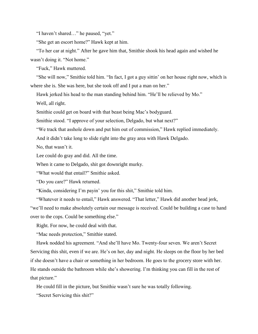"I haven't shared…" he paused, "yet."

"She get an escort home?" Hawk kept at him.

"To her car at night." After he gave him that, Smithie shook his head again and wished he wasn't doing it. "Not home."

"Fuck," Hawk muttered.

"She will now," Smithie told him. "In fact, I got a guy sittin' on her house right now, which is where she is. She was here, but she took off and I put a man on her."

Hawk jerked his head to the man standing behind him. "He'll be relieved by Mo."

Well, all right.

Smithie could get on board with that beast being Mac's bodyguard.

Smithie stood. "I approve of your selection, Delgado, but what next?"

"We track that asshole down and put him out of commission," Hawk replied immediately.

And it didn't take long to slide right into the gray area with Hawk Delgado.

No, that wasn't it.

Lee could do gray and did. All the time.

When it came to Delgado, shit got downright murky.

"What would that entail?" Smithie asked.

"Do you care?" Hawk returned.

"Kinda, considering I'm payin' you for this shit," Smithie told him.

"Whatever it needs to entail," Hawk answered. "That letter," Hawk did another head jerk, "we'll need to make absolutely certain our message is received. Could be building a case to hand over to the cops. Could be something else."

Right. For now, he could deal with that.

"Mac needs protection," Smithie stated.

Hawk nodded his agreement. "And she'll have Mo. Twenty-four seven. We aren't Secret Servicing this shit, even if we are. He's on her, day and night. He sleeps on the floor by her bed if she doesn't have a chair or something in her bedroom. He goes to the grocery store with her. He stands outside the bathroom while she's showering. I'm thinking you can fill in the rest of that picture."

He could fill in the picture, but Smithie wasn't sure he was totally following.

"Secret Servicing this shit?"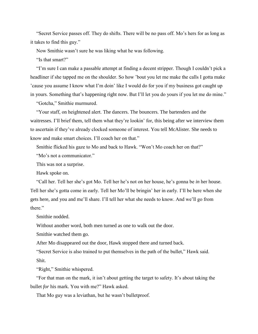"Secret Service passes off. They do shifts. There will be no pass off. Mo's hers for as long as it takes to find this guy."

Now Smithie wasn't sure he was liking what he was following.

"Is that smart?"

"I'm sure I can make a passable attempt at finding a decent stripper. Though I couldn't pick a headliner if she tapped me on the shoulder. So how 'bout you let me make the calls I gotta make 'cause you assume I know what I'm doin' like I would do for you if my business got caught up in yours. Something that's happening right now. But I'll let you do yours if you let me do mine."

"Gotcha," Smithie murmured.

"Your staff, on heightened alert. The dancers. The bouncers. The bartenders and the waitresses. I'll brief them, tell them what they're lookin' for, this being after we interview them to ascertain if they've already clocked someone of interest. You tell McAlister. She needs to know and make smart choices. I'll coach her on that."

Smithie flicked his gaze to Mo and back to Hawk. "Won't Mo coach her on that?" "Mo's not a communicator."

This was not a surprise.

Hawk spoke on.

"Call her. Tell her she's got Mo. Tell her he's not on her house, he's gonna be *in* her house. Tell her she's gotta come in early. Tell her Mo'll be bringin' her in early. I'll be here when she gets here, and you and me'll share. I'll tell her what she needs to know. And we'll go from there."

Smithie nodded.

Without another word, both men turned as one to walk out the door.

Smithie watched them go.

After Mo disappeared out the door, Hawk stopped there and turned back.

"Secret Service is also trained to put themselves in the path of the bullet," Hawk said.

Shit.

"Right," Smithie whispered.

"For that man on the mark, it isn't about getting the target to safety. It's about taking the bullet *for* his mark. You with me?" Hawk asked.

That Mo guy was a leviathan, but he wasn't bulletproof.